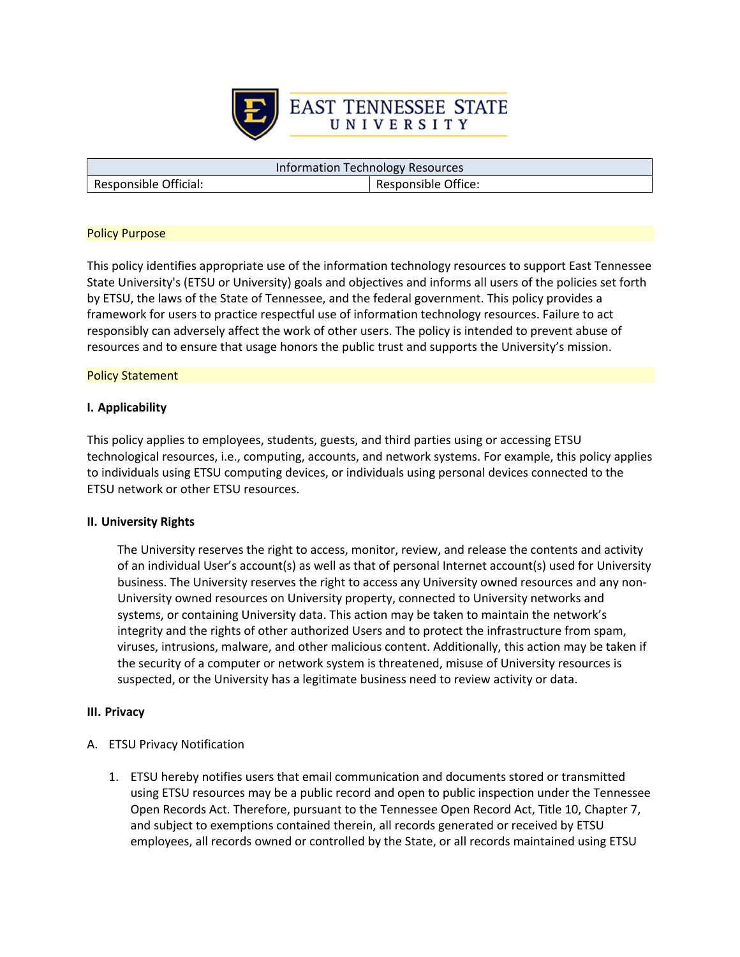

Responsible Official: Responsible Office:

Information Technology Resources

## Policy Purpose

This policy identifies appropriate use of the information technology resources to support East Tennessee State University's (ETSU or University) goals and objectives and informs all users of the policies set forth by ETSU, the laws of the State of Tennessee, and the federal government. This policy provides a framework for users to practice respectful use of information technology resources. Failure to act responsibly can adversely affect the work of other users. The policy is intended to prevent abuse of resources and to ensure that usage honors the public trust and supports the University's mission.

### Policy Statement

## **I. Applicability**

This policy applies to employees, students, guests, and third parties using or accessing ETSU technological resources, i.e., computing, accounts, and network systems. For example, this policy applies to individuals using ETSU computing devices, or individuals using personal devices connected to the ETSU network or other ETSU resources.

#### **II. University Rights**

The University reserves the right to access, monitor, review, and release the contents and activity of an individual User's account(s) as well as that of personal Internet account(s) used for University business. The University reserves the right to access any University owned resources and any non-University owned resources on University property, connected to University networks and systems, or containing University data. This action may be taken to maintain the network's integrity and the rights of other authorized Users and to protect the infrastructure from spam, viruses, intrusions, malware, and other malicious content. Additionally, this action may be taken if the security of a computer or network system is threatened, misuse of University resources is suspected, or the University has a legitimate business need to review activity or data.

#### **III. Privacy**

- A. ETSU Privacy Notification
	- 1. ETSU hereby notifies users that email communication and documents stored or transmitted using ETSU resources may be a public record and open to public inspection under the Tennessee Open Records Act. Therefore, pursuant to the Tennessee Open Record Act, Title 10, Chapter 7, and subject to exemptions contained therein, all records generated or received by ETSU employees, all records owned or controlled by the State, or all records maintained using ETSU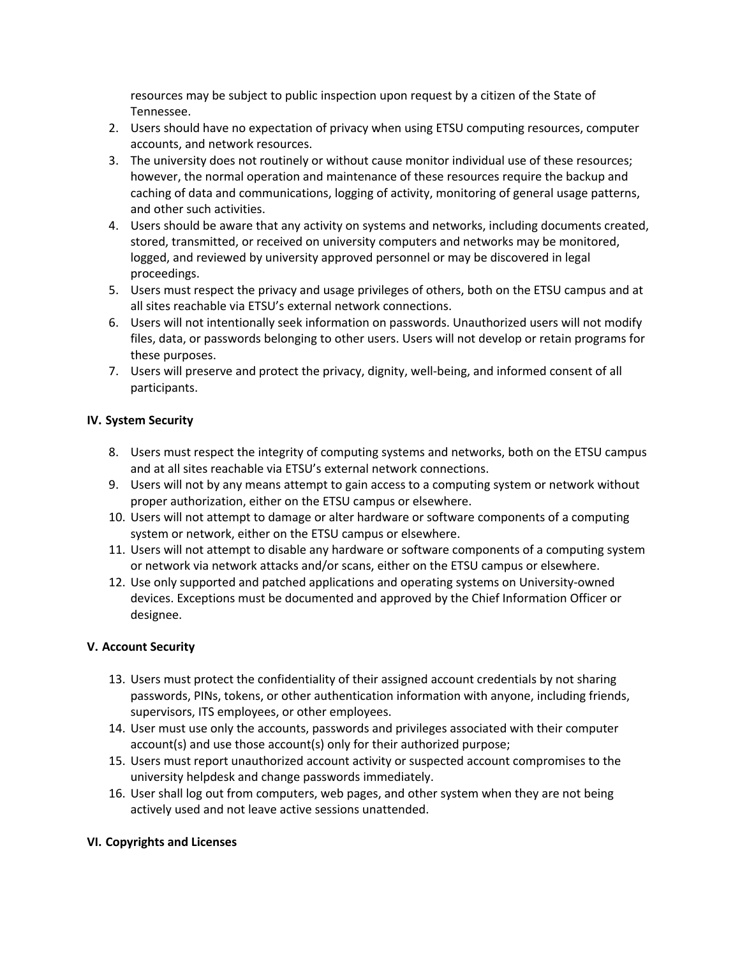resources may be subject to public inspection upon request by a citizen of the State of Tennessee.

- 2. Users should have no expectation of privacy when using ETSU computing resources, computer accounts, and network resources.
- 3. The university does not routinely or without cause monitor individual use of these resources; however, the normal operation and maintenance of these resources require the backup and caching of data and communications, logging of activity, monitoring of general usage patterns, and other such activities.
- 4. Users should be aware that any activity on systems and networks, including documents created, stored, transmitted, or received on university computers and networks may be monitored, logged, and reviewed by university approved personnel or may be discovered in legal proceedings.
- 5. Users must respect the privacy and usage privileges of others, both on the ETSU campus and at all sites reachable via ETSU's external network connections.
- 6. Users will not intentionally seek information on passwords. Unauthorized users will not modify files, data, or passwords belonging to other users. Users will not develop or retain programs for these purposes.
- 7. Users will preserve and protect the privacy, dignity, well-being, and informed consent of all participants.

# **IV. System Security**

- 8. Users must respect the integrity of computing systems and networks, both on the ETSU campus and at all sites reachable via ETSU's external network connections.
- 9. Users will not by any means attempt to gain access to a computing system or network without proper authorization, either on the ETSU campus or elsewhere.
- 10. Users will not attempt to damage or alter hardware or software components of a computing system or network, either on the ETSU campus or elsewhere.
- 11. Users will not attempt to disable any hardware or software components of a computing system or network via network attacks and/or scans, either on the ETSU campus or elsewhere.
- 12. Use only supported and patched applications and operating systems on University-owned devices. Exceptions must be documented and approved by the Chief Information Officer or designee.

## **V. Account Security**

- 13. Users must protect the confidentiality of their assigned account credentials by not sharing passwords, PINs, tokens, or other authentication information with anyone, including friends, supervisors, ITS employees, or other employees.
- 14. User must use only the accounts, passwords and privileges associated with their computer account(s) and use those account(s) only for their authorized purpose;
- 15. Users must report unauthorized account activity or suspected account compromises to the university helpdesk and change passwords immediately.
- 16. User shall log out from computers, web pages, and other system when they are not being actively used and not leave active sessions unattended.

## **VI. Copyrights and Licenses**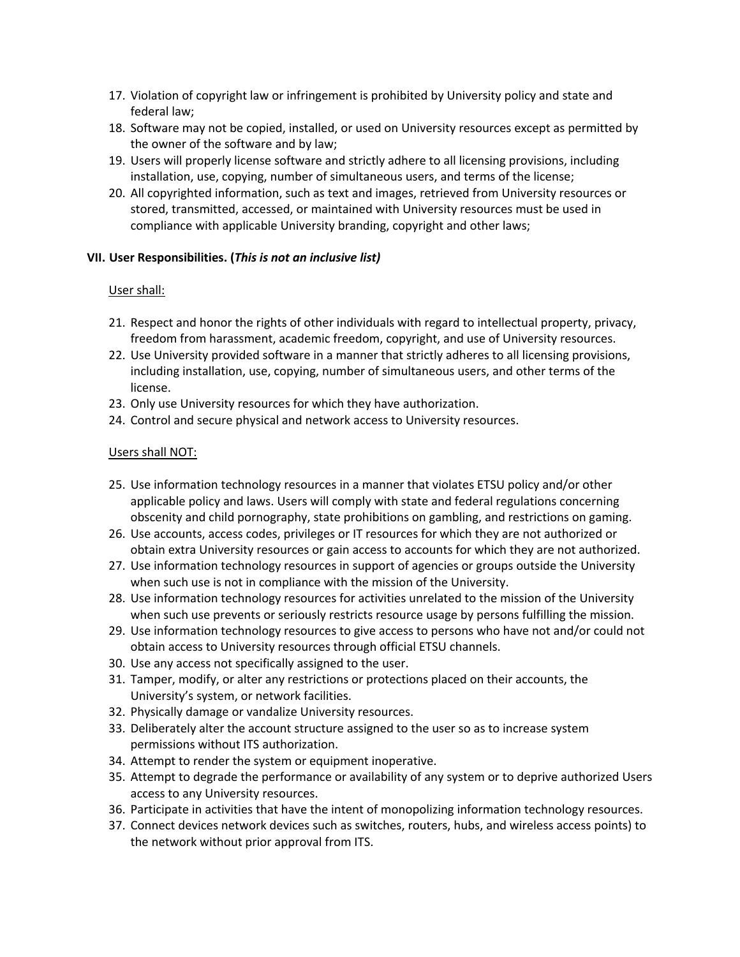- 17. Violation of copyright law or infringement is prohibited by University policy and state and federal law;
- 18. Software may not be copied, installed, or used on University resources except as permitted by the owner of the software and by law;
- 19. Users will properly license software and strictly adhere to all licensing provisions, including installation, use, copying, number of simultaneous users, and terms of the license;
- 20. All copyrighted information, such as text and images, retrieved from University resources or stored, transmitted, accessed, or maintained with University resources must be used in compliance with applicable University branding, copyright and other laws;

## **VII. User Responsibilities. (***This is not an inclusive list)*

# User shall:

- 21. Respect and honor the rights of other individuals with regard to intellectual property, privacy, freedom from harassment, academic freedom, copyright, and use of University resources.
- 22. Use University provided software in a manner that strictly adheres to all licensing provisions, including installation, use, copying, number of simultaneous users, and other terms of the license.
- 23. Only use University resources for which they have authorization.
- 24. Control and secure physical and network access to University resources.

## Users shall NOT:

- 25. Use information technology resources in a manner that violates ETSU policy and/or other applicable policy and laws. Users will comply with state and federal regulations concerning obscenity and child pornography, state prohibitions on gambling, and restrictions on gaming.
- 26. Use accounts, access codes, privileges or IT resources for which they are not authorized or obtain extra University resources or gain access to accounts for which they are not authorized.
- 27. Use information technology resources in support of agencies or groups outside the University when such use is not in compliance with the mission of the University.
- 28. Use information technology resources for activities unrelated to the mission of the University when such use prevents or seriously restricts resource usage by persons fulfilling the mission.
- 29. Use information technology resources to give access to persons who have not and/or could not obtain access to University resources through official ETSU channels.
- 30. Use any access not specifically assigned to the user.
- 31. Tamper, modify, or alter any restrictions or protections placed on their accounts, the University's system, or network facilities.
- 32. Physically damage or vandalize University resources.
- 33. Deliberately alter the account structure assigned to the user so as to increase system permissions without ITS authorization.
- 34. Attempt to render the system or equipment inoperative.
- 35. Attempt to degrade the performance or availability of any system or to deprive authorized Users access to any University resources.
- 36. Participate in activities that have the intent of monopolizing information technology resources.
- 37. Connect devices network devices such as switches, routers, hubs, and wireless access points) to the network without prior approval from ITS.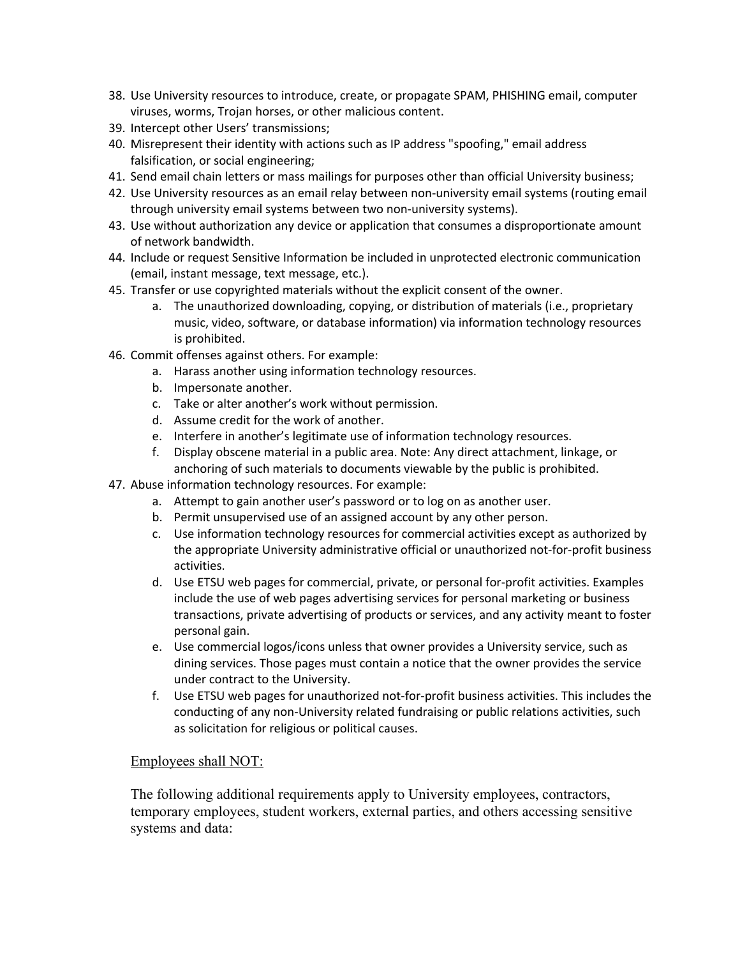- 38. Use University resources to introduce, create, or propagate SPAM, PHISHING email, computer viruses, worms, Trojan horses, or other malicious content.
- 39. Intercept other Users' transmissions;
- 40. Misrepresent their identity with actions such as IP address "spoofing," email address falsification, or social engineering;
- 41. Send email chain letters or mass mailings for purposes other than official University business;
- 42. Use University resources as an email relay between non-university email systems (routing email through university email systems between two non-university systems).
- 43. Use without authorization any device or application that consumes a disproportionate amount of network bandwidth.
- 44. Include or request Sensitive Information be included in unprotected electronic communication (email, instant message, text message, etc.).
- 45. Transfer or use copyrighted materials without the explicit consent of the owner.
	- a. The unauthorized downloading, copying, or distribution of materials (i.e., proprietary music, video, software, or database information) via information technology resources is prohibited.
- 46. Commit offenses against others. For example:
	- a. Harass another using information technology resources.
	- b. Impersonate another.
	- c. Take or alter another's work without permission.
	- d. Assume credit for the work of another.
	- e. Interfere in another's legitimate use of information technology resources.
	- f. Display obscene material in a public area. Note: Any direct attachment, linkage, or anchoring of such materials to documents viewable by the public is prohibited.
- 47. Abuse information technology resources. For example:
	- a. Attempt to gain another user's password or to log on as another user.
	- b. Permit unsupervised use of an assigned account by any other person.
	- c. Use information technology resources for commercial activities except as authorized by the appropriate University administrative official or unauthorized not-for-profit business activities.
	- d. Use ETSU web pages for commercial, private, or personal for-profit activities. Examples include the use of web pages advertising services for personal marketing or business transactions, private advertising of products or services, and any activity meant to foster personal gain.
	- e. Use commercial logos/icons unless that owner provides a University service, such as dining services. Those pages must contain a notice that the owner provides the service under contract to the University.
	- f. Use ETSU web pages for unauthorized not-for-profit business activities. This includes the conducting of any non-University related fundraising or public relations activities, such as solicitation for religious or political causes.

# Employees shall NOT:

The following additional requirements apply to University employees, contractors, temporary employees, student workers, external parties, and others accessing sensitive systems and data: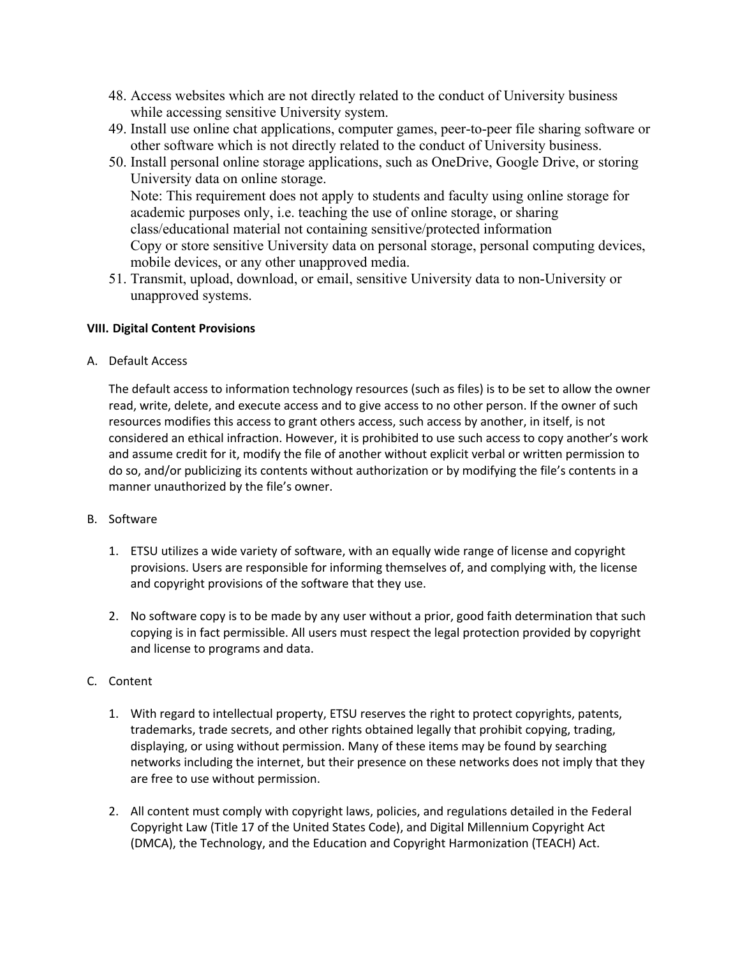- 48. Access websites which are not directly related to the conduct of University business while accessing sensitive University system.
- 49. Install use online chat applications, computer games, peer-to-peer file sharing software or other software which is not directly related to the conduct of University business.
- 50. Install personal online storage applications, such as OneDrive, Google Drive, or storing University data on online storage. Note: This requirement does not apply to students and faculty using online storage for academic purposes only, i.e. teaching the use of online storage, or sharing class/educational material not containing sensitive/protected information Copy or store sensitive University data on personal storage, personal computing devices, mobile devices, or any other unapproved media.
- 51. Transmit, upload, download, or email, sensitive University data to non-University or unapproved systems.

## **VIII. Digital Content Provisions**

A. Default Access

The default access to information technology resources (such as files) is to be set to allow the owner read, write, delete, and execute access and to give access to no other person. If the owner of such resources modifies this access to grant others access, such access by another, in itself, is not considered an ethical infraction. However, it is prohibited to use such access to copy another's work and assume credit for it, modify the file of another without explicit verbal or written permission to do so, and/or publicizing its contents without authorization or by modifying the file's contents in a manner unauthorized by the file's owner.

- B. Software
	- 1. ETSU utilizes a wide variety of software, with an equally wide range of license and copyright provisions. Users are responsible for informing themselves of, and complying with, the license and copyright provisions of the software that they use.
	- 2. No software copy is to be made by any user without a prior, good faith determination that such copying is in fact permissible. All users must respect the legal protection provided by copyright and license to programs and data.
- C. Content
	- 1. With regard to intellectual property, ETSU reserves the right to protect copyrights, patents, trademarks, trade secrets, and other rights obtained legally that prohibit copying, trading, displaying, or using without permission. Many of these items may be found by searching networks including the internet, but their presence on these networks does not imply that they are free to use without permission.
	- 2. All content must comply with copyright laws, policies, and regulations detailed in the Federal Copyright Law (Title 17 of the United States Code), and Digital Millennium Copyright Act (DMCA), the Technology, and the Education and Copyright Harmonization (TEACH) Act.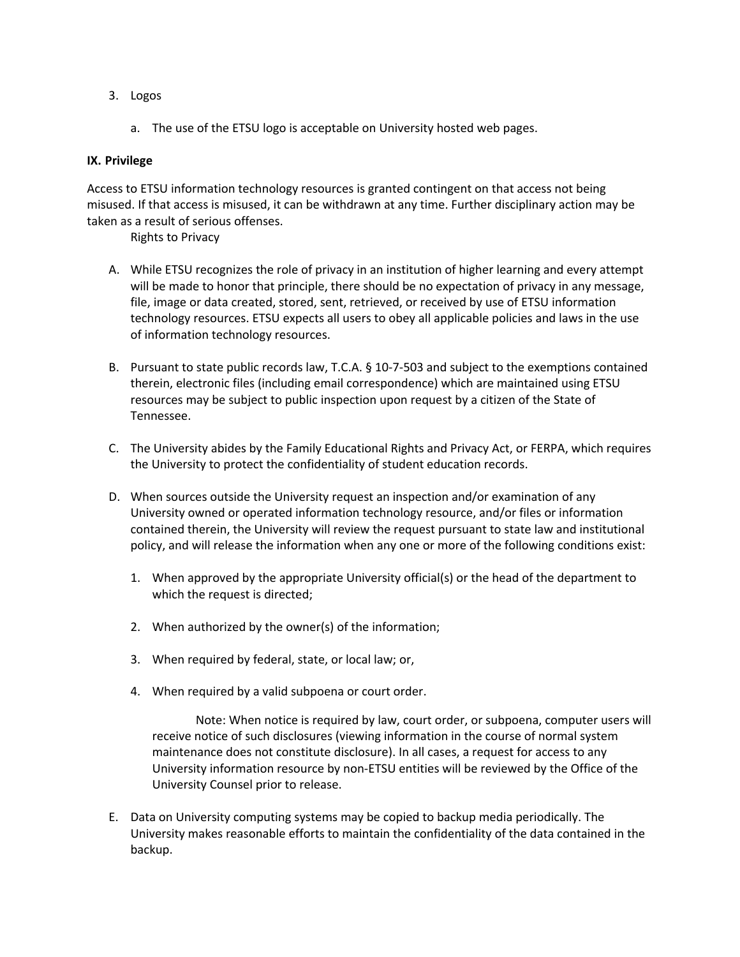- 3. Logos
	- a. The use of the ETSU logo is acceptable on University hosted web pages.

### **IX. Privilege**

Access to ETSU information technology resources is granted contingent on that access not being misused. If that access is misused, it can be withdrawn at any time. Further disciplinary action may be taken as a result of serious offenses.

Rights to Privacy

- A. While ETSU recognizes the role of privacy in an institution of higher learning and every attempt will be made to honor that principle, there should be no expectation of privacy in any message, file, image or data created, stored, sent, retrieved, or received by use of ETSU information technology resources. ETSU expects all users to obey all applicable policies and laws in the use of information technology resources.
- B. Pursuant to state public records law, T.C.A. § 10-7-503 and subject to the exemptions contained therein, electronic files (including email correspondence) which are maintained using ETSU resources may be subject to public inspection upon request by a citizen of the State of Tennessee.
- C. The University abides by the Family Educational Rights and Privacy Act, or FERPA, which requires the University to protect the confidentiality of student education records.
- D. When sources outside the University request an inspection and/or examination of any University owned or operated information technology resource, and/or files or information contained therein, the University will review the request pursuant to state law and institutional policy, and will release the information when any one or more of the following conditions exist:
	- 1. When approved by the appropriate University official(s) or the head of the department to which the request is directed;
	- 2. When authorized by the owner(s) of the information;
	- 3. When required by federal, state, or local law; or,
	- 4. When required by a valid subpoena or court order.

Note: When notice is required by law, court order, or subpoena, computer users will receive notice of such disclosures (viewing information in the course of normal system maintenance does not constitute disclosure). In all cases, a request for access to any University information resource by non-ETSU entities will be reviewed by the Office of the University Counsel prior to release.

E. Data on University computing systems may be copied to backup media periodically. The University makes reasonable efforts to maintain the confidentiality of the data contained in the backup.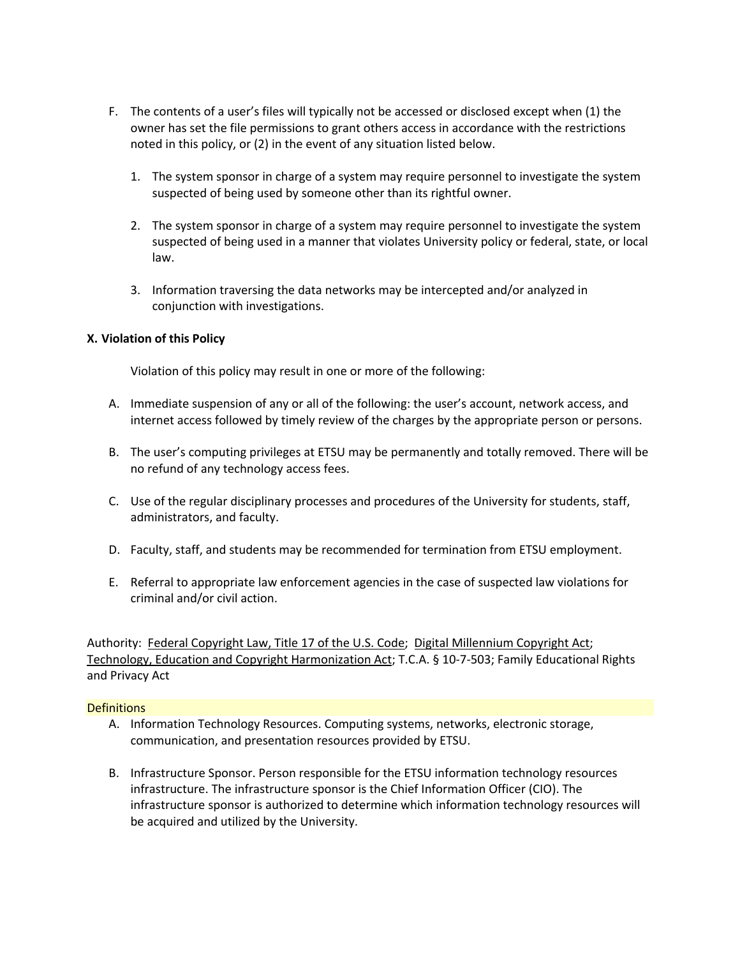- F. The contents of a user's files will typically not be accessed or disclosed except when (1) the owner has set the file permissions to grant others access in accordance with the restrictions noted in this policy, or (2) in the event of any situation listed below.
	- 1. The system sponsor in charge of a system may require personnel to investigate the system suspected of being used by someone other than its rightful owner.
	- 2. The system sponsor in charge of a system may require personnel to investigate the system suspected of being used in a manner that violates University policy or federal, state, or local law.
	- 3. Information traversing the data networks may be intercepted and/or analyzed in conjunction with investigations.

## **X. Violation of this Policy**

Violation of this policy may result in one or more of the following:

- A. Immediate suspension of any or all of the following: the user's account, network access, and internet access followed by timely review of the charges by the appropriate person or persons.
- B. The user's computing privileges at ETSU may be permanently and totally removed. There will be no refund of any technology access fees.
- C. Use of the regular disciplinary processes and procedures of the University for students, staff, administrators, and faculty.
- D. Faculty, staff, and students may be recommended for termination from ETSU employment.
- E. Referral to appropriate law enforcement agencies in the case of suspected law violations for criminal and/or civil action.

Authority: Federal Copyright Law, Title 17 of the U.S. Code; Digital Millennium Copyright Act; Technology, Education and Copyright Harmonization Act; T.C.A. § 10-7-503; Family Educational Rights and Privacy Act

## **Definitions**

- A. Information Technology Resources. Computing systems, networks, electronic storage, communication, and presentation resources provided by ETSU.
- B. Infrastructure Sponsor. Person responsible for the ETSU information technology resources infrastructure. The infrastructure sponsor is the Chief Information Officer (CIO). The infrastructure sponsor is authorized to determine which information technology resources will be acquired and utilized by the University.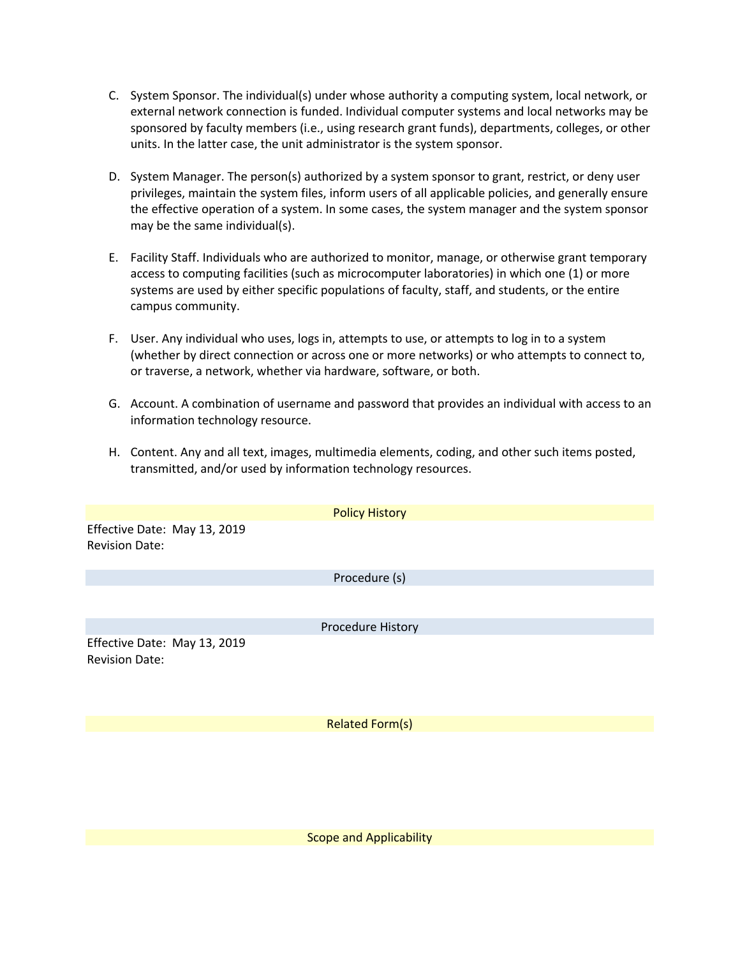- C. System Sponsor. The individual(s) under whose authority a computing system, local network, or external network connection is funded. Individual computer systems and local networks may be sponsored by faculty members (i.e., using research grant funds), departments, colleges, or other units. In the latter case, the unit administrator is the system sponsor.
- D. System Manager. The person(s) authorized by a system sponsor to grant, restrict, or deny user privileges, maintain the system files, inform users of all applicable policies, and generally ensure the effective operation of a system. In some cases, the system manager and the system sponsor may be the same individual(s).
- E. Facility Staff. Individuals who are authorized to monitor, manage, or otherwise grant temporary access to computing facilities (such as microcomputer laboratories) in which one (1) or more systems are used by either specific populations of faculty, staff, and students, or the entire campus community.
- F. User. Any individual who uses, logs in, attempts to use, or attempts to log in to a system (whether by direct connection or across one or more networks) or who attempts to connect to, or traverse, a network, whether via hardware, software, or both.
- G. Account. A combination of username and password that provides an individual with access to an information technology resource.
- H. Content. Any and all text, images, multimedia elements, coding, and other such items posted, transmitted, and/or used by information technology resources.

|                                                       | <b>Policy History</b>  |  |
|-------------------------------------------------------|------------------------|--|
| Effective Date: May 13, 2019<br><b>Revision Date:</b> |                        |  |
|                                                       | Procedure (s)          |  |
|                                                       |                        |  |
|                                                       | Procedure History      |  |
| Effective Date: May 13, 2019<br><b>Revision Date:</b> |                        |  |
|                                                       | <b>Related Form(s)</b> |  |
|                                                       |                        |  |

Scope and Applicability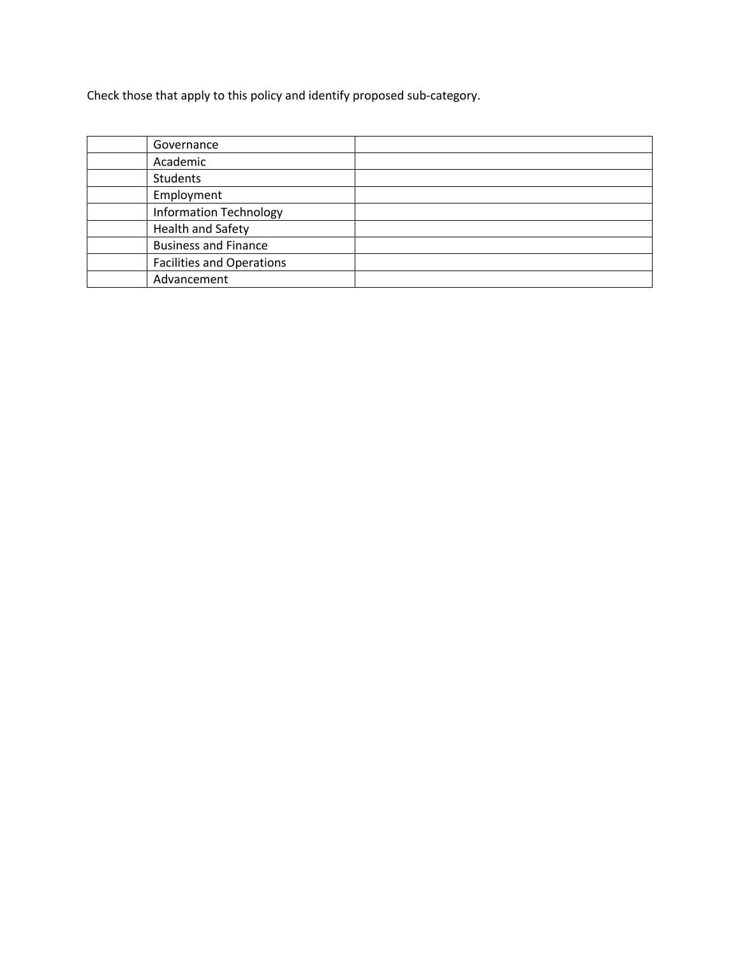Check those that apply to this policy and identify proposed sub-category.

| Governance                       |  |
|----------------------------------|--|
| Academic                         |  |
| <b>Students</b>                  |  |
| Employment                       |  |
| <b>Information Technology</b>    |  |
| <b>Health and Safety</b>         |  |
| <b>Business and Finance</b>      |  |
| <b>Facilities and Operations</b> |  |
| Advancement                      |  |